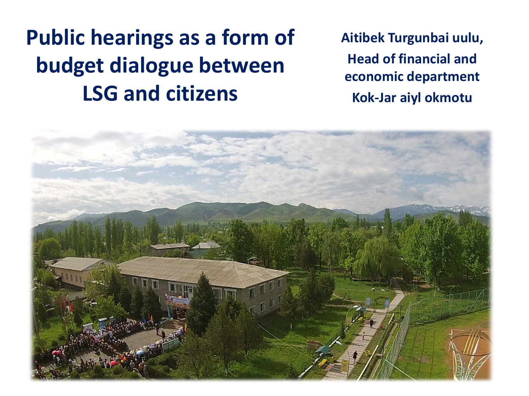# **Public hearings as a form of budget dialogue between LSG and citizens**

**Aitibek Turgunbai uulu, Head of financial and economic department Kok-Jar aiyl okmotu**

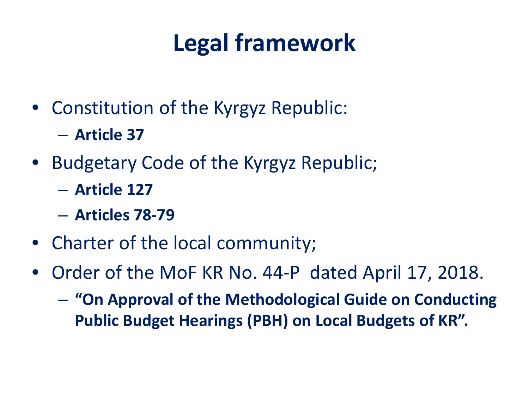# **Legal framework**

- Constitution of the Kyrgyz Republic:
	- **Article 37**
- Budgetary Code of the Kyrgyz Republic;
	- **Article 127**
	- **Articles 78-79**
- Charter of the local community;
- Order of the MoF KR No. 44-P dated April 17, 2018.
	- **"On Approval of the Methodological Guide on Conducting Public Budget Hearings (PBH) on Local Budgets of KR".**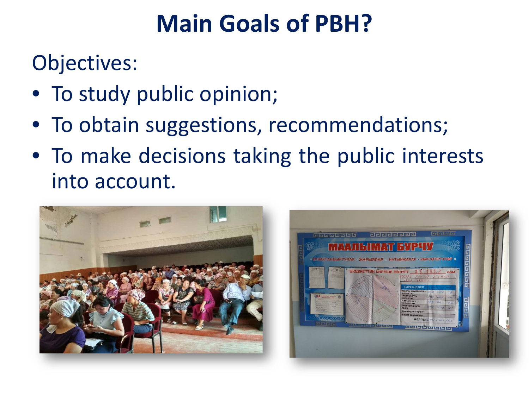# **Main Goals of PBH?**

Objectives:

- To study public opinion;
- To obtain suggestions, recommendations;
- To make decisions taking the public interests into account.



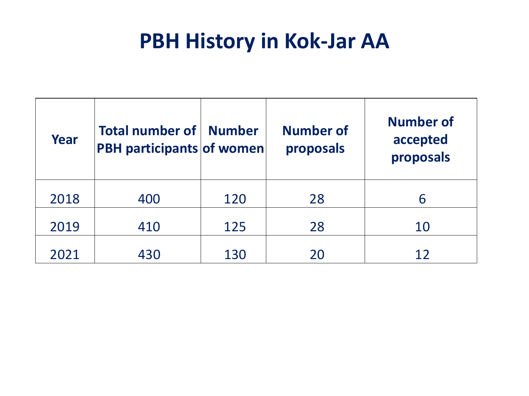### **PBH History in Kok-Jar AA**

| Year | Total number of   Number<br><b>PBH participants of women</b> |     | <b>Number of</b><br>proposals | <b>Number of</b><br>accepted<br>proposals |
|------|--------------------------------------------------------------|-----|-------------------------------|-------------------------------------------|
| 2018 | 400                                                          | 120 | 28                            | 6                                         |
| 2019 | 410                                                          | 125 | 28                            | 10                                        |
| 2021 | 430                                                          | 130 | 20                            |                                           |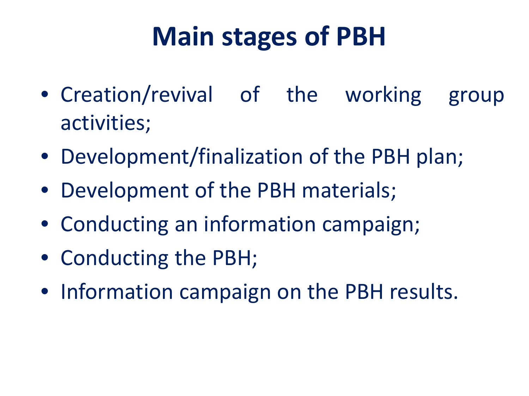# **Main stages of PBH**

- Creation/revival of the working group activities;
- Development/finalization of the PBH plan;
- Development of the PBH materials;
- Conducting an information campaign;
- Conducting the PBH;
- Information campaign on the PBH results.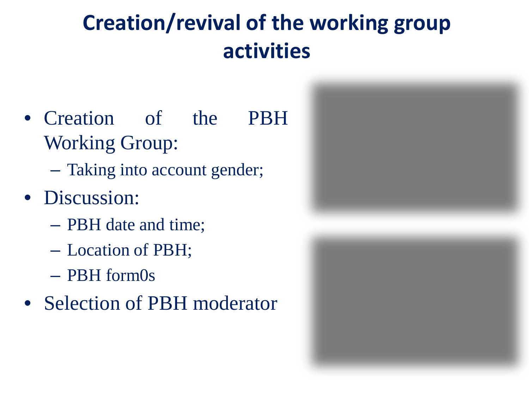# **Creation/revival of the working group activities**

- Creation of the PBH Working Group:
	- Taking into account gender;
- Discussion:
	- PBH date and time;
	- Location of PBH;
	- PBH form0s
- Selection of PBH moderator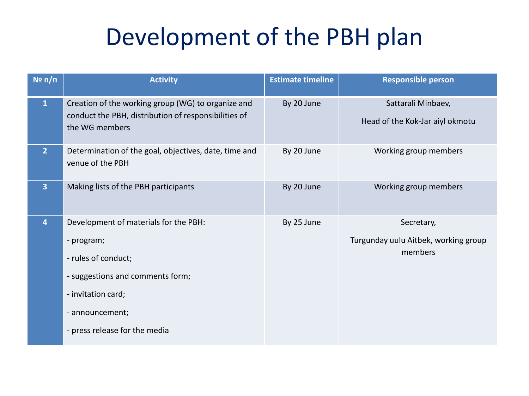# Development of the PBH plan

| $N$ <sup>2</sup> π/π | <b>Activity</b>                                                                                                                                                                          | <b>Estimate timeline</b> | <b>Responsible person</b>                                     |
|----------------------|------------------------------------------------------------------------------------------------------------------------------------------------------------------------------------------|--------------------------|---------------------------------------------------------------|
| $\mathbf{1}$         | Creation of the working group (WG) to organize and<br>conduct the PBH, distribution of responsibilities of<br>the WG members                                                             | By 20 June               | Sattarali Minbaev,<br>Head of the Kok-Jar aiyl okmotu         |
| $\overline{2}$       | Determination of the goal, objectives, date, time and<br>venue of the PBH                                                                                                                | By 20 June               | Working group members                                         |
| 3                    | Making lists of the PBH participants                                                                                                                                                     | By 20 June               | Working group members                                         |
| 4                    | Development of materials for the PBH:<br>- program;<br>- rules of conduct;<br>- suggestions and comments form;<br>- invitation card;<br>- announcement;<br>- press release for the media | By 25 June               | Secretary,<br>Turgunday uulu Aitbek, working group<br>members |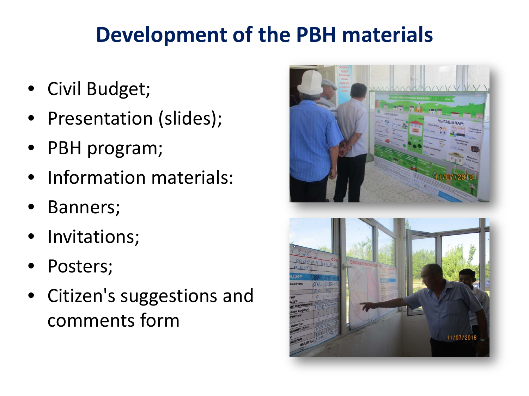# **Development of the PBH materials**

- Civil Budget;
- Presentation (slides);
- PBH program;
- Information materials:
- Banners;
- Invitations;
- Posters;
- Citizen's suggestions and comments form

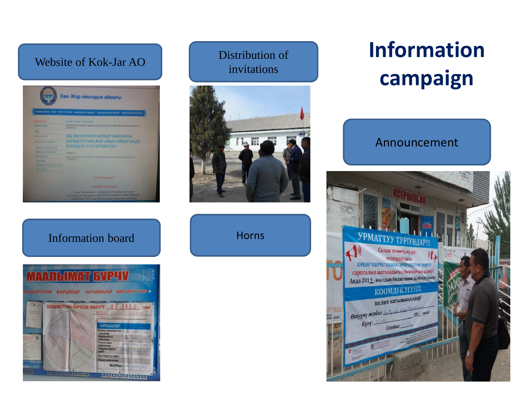#### Website of Kok-Jar AO



#### Distribution of invitations



**Horns** 

# **Information campaign**





#### Information board

#### **MATILIMAT EVP**

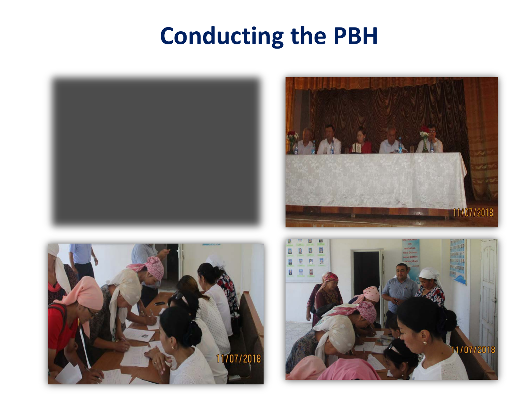# **Conducting the PBH**







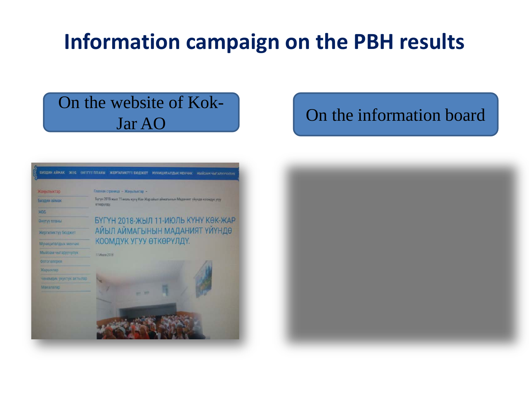## **Information campaign on the PBH results**

# On the website of Kok-



## Jar AO Jard Contraction board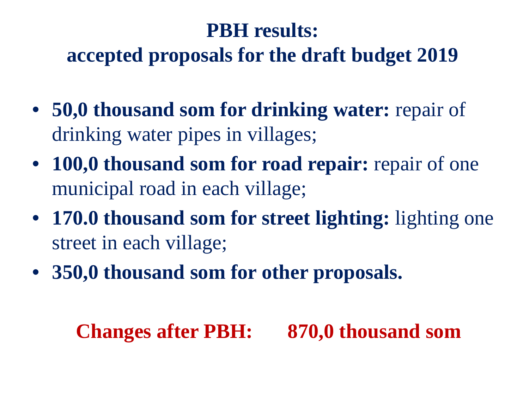### **PBH results:**

### **accepted proposals for the draft budget 2019**

- **50,0 thousand som for drinking water:** repair of drinking water pipes in villages;
- **100,0 thousand som for road repair:** repair of one municipal road in each village;
- **170.0 thousand som for street lighting:** lighting one street in each village;
- **350,0 thousand som for other proposals.**

### **Changes after PBH: 870,0 thousand som**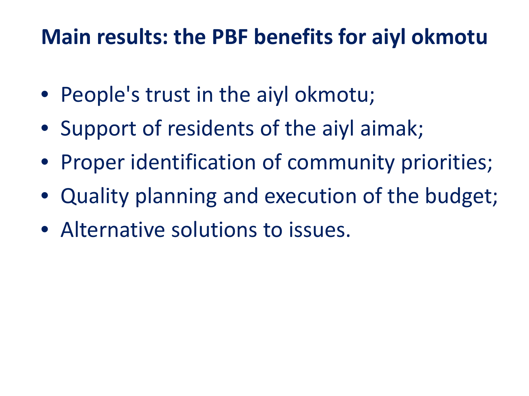## **Main results: the PBF benefits for aiyl okmotu**

- People's trust in the aiyl okmotu;
- Support of residents of the aiyl aimak;
- Proper identification of community priorities;
- Quality planning and execution of the budget;
- Alternative solutions to issues.